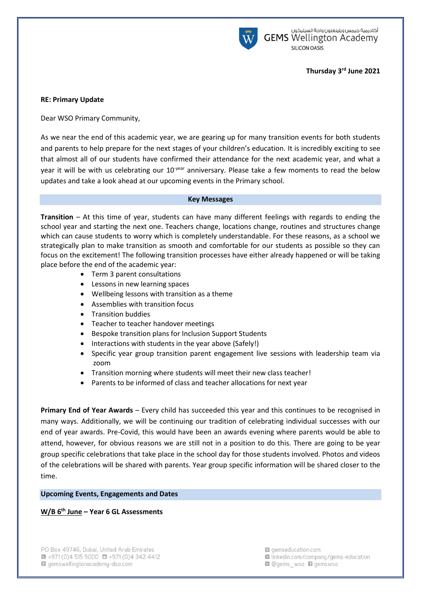

# **Thursday 3 rd June 2021**

## **RE: Primary Update**

Dear WSO Primary Community,

As we near the end of this academic year, we are gearing up for many transition events for both students and parents to help prepare for the next stages of your children's education. It is incredibly exciting to see that almost all of our students have confirmed their attendance for the next academic year, and what a year it will be with us celebrating our  $10^{-year}$  anniversary. Please take a few moments to read the below updates and take a look ahead at our upcoming events in the Primary school.

#### **Key Messages**

**Transition** – At this time of year, students can have many different feelings with regards to ending the school year and starting the next one. Teachers change, locations change, routines and structures change which can cause students to worry which is completely understandable. For these reasons, as a school we strategically plan to make transition as smooth and comfortable for our students as possible so they can focus on the excitement! The following transition processes have either already happened or will be taking place before the end of the academic year:

- Term 3 parent consultations
- **Lessons in new learning spaces**
- Wellbeing lessons with transition as a theme
- Assemblies with transition focus
- Transition buddies
- Teacher to teacher handover meetings
- Bespoke transition plans for Inclusion Support Students
- Interactions with students in the year above (Safely!)
- Specific year group transition parent engagement live sessions with leadership team via zoom
- Transition morning where students will meet their new class teacher!
- Parents to be informed of class and teacher allocations for next year

**Primary End of Year Awards** – Every child has succeeded this year and this continues to be recognised in many ways. Additionally, we will be continuing our tradition of celebrating individual successes with our end of year awards. Pre-Covid, this would have been an awards evening where parents would be able to attend, however, for obvious reasons we are still not in a position to do this. There are going to be year group specific celebrations that take place in the school day for those students involved. Photos and videos of the celebrations will be shared with parents. Year group specific information will be shared closer to the time.

#### **Upcoming Events, Engagements and Dates**

## **W/B 6th June – Year 6 GL Assessments**

gemseducation.com la linkedin.com/company/gems-education **Q** @gems wso **D** gemswso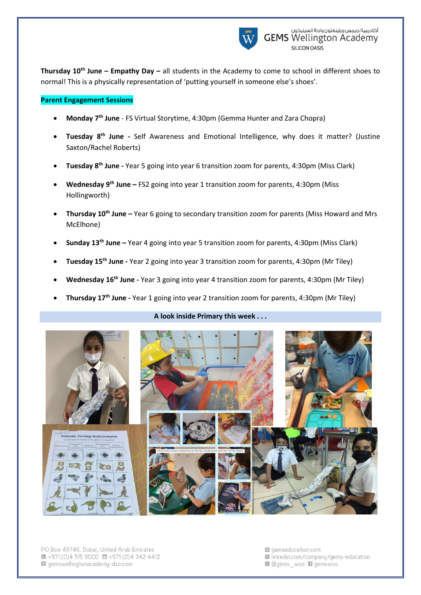

**Thursday 10th June – Empathy Day –** all students in the Academy to come to school in different shoes to normal! This is a physically representation of 'putting yourself in someone else's shoes'.

## **Parent Engagement Sessions**

- **Monday 7th June** FS Virtual Storytime, 4:30pm (Gemma Hunter and Zara Chopra)
- **Tuesday 8th June -** Self Awareness and Emotional Intelligence, why does it matter? (Justine Saxton/Rachel Roberts)
- **Tuesday 8th June -** Year 5 going into year 6 transition zoom for parents, 4:30pm (Miss Clark)
- **Wednesday 9th June –** FS2 going into year 1 transition zoom for parents, 4:30pm (Miss Hollingworth)
- **Thursday 10th June –** Year 6 going to secondary transition zoom for parents (Miss Howard and Mrs McElhone)
- **Sunday 13th June –** Year 4 going into year 5 transition zoom for parents, 4:30pm (Miss Clark)
- **Tuesday 15th June -** Year 2 going into year 3 transition zoom for parents, 4:30pm (Mr Tiley)
- **Wednesday 16th June -** Year 3 going into year 4 transition zoom for parents, 4:30pm (Mr Tiley)
- **Thursday 17th June -** Year 1 going into year 2 transition zoom for parents, 4:30pm (Mr Tiley)

# **A look inside Primary this week . . .**



PO Box 49746, Dubai, United Arab Emirates  $\bullet$  +971 (0) 4 515 9000  $\bullet$  +971 (0) 4 342 4412 gemswellingtonacademy-dso.com

- gemseducation.com la linkedin.com/company/gems-education
- **Q** @qems wso **Q** qemswso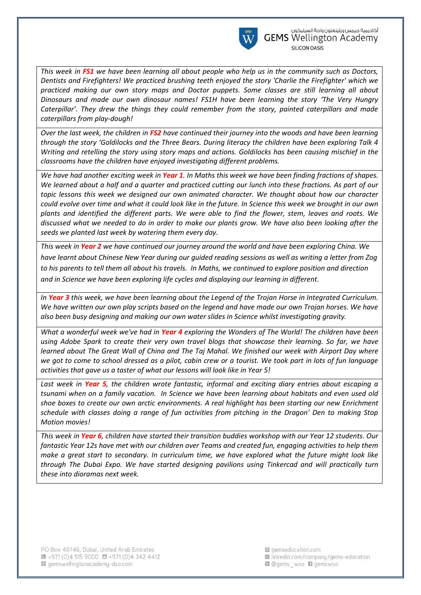

*This week in FS1 we have been learning all about people who help us in the community such as Doctors, Dentists and Firefighters! We practiced brushing teeth enjoyed the story 'Charlie the Firefighter' which we practiced making our own story maps and Doctor puppets. Some classes are still learning all about Dinosaurs and made our own dinosaur names! FS1H have been learning the story 'The Very Hungry Caterpillar'. They drew the things they could remember from the story, painted caterpillars and made caterpillars from play-dough!*

*Over the last week, the children in FS2 have continued their journey into the woods and have been learning through the story 'Goldilocks and the Three Bears. During literacy the children have been exploring Talk 4 Writing and retelling the story using story maps and actions. Goldilocks has been causing mischief in the classrooms have the children have enjoyed investigating different problems.*

*We have had another exciting week in Year 1. In Maths this week we have been finding fractions of shapes. We learned about a half and a quarter and practiced cutting our lunch into these fractions. As part of our topic lessons this week we designed our own animated character. We thought about how our character could evolve over time and what it could look like in the future. In Science this week we brought in our own plants and identified the different parts. We were able to find the flower, stem, leaves and roots. We discussed what we needed to do in order to make our plants grow. We have also been looking after the seeds we planted last week by watering them every day.*

*This week in Year 2 we have continued our journey around the world and have been exploring China. We have learnt about Chinese New Year during our guided reading sessions as well as writing a letter from Zog to his parents to tell them all about his travels. In Maths, we continued to explore position and direction and in Science we have been exploring life cycles and displaying our learning in different.*

*In Year 3 this week, we have been learning about the Legend of the Trojan Horse in Integrated Curriculum. We have written our own play scripts based on the legend and have made our own Trojan horses. We have also been busy designing and making our own water slides in Science whilst investigating gravity.*

*What a wonderful week we've had in Year 4 exploring the Wonders of The World! The children have been using Adobe Spark to create their very own travel blogs that showcase their learning. So far, we have learned about The Great Wall of China and The Taj Mahal. We finished our week with Airport Day where we got to come to school dressed as a pilot, cabin crew or a tourist. We took part in lots of fun language activities that gave us a taster of what our lessons will look like in Year 5!*

*Last week in Year 5, the children wrote fantastic, informal and exciting diary entries about escaping a tsunami when on a family vacation. In Science we have been learning about habitats and even used old shoe boxes to create our own arctic environments. A real highlight has been starting our new Enrichment schedule with classes doing a range of fun activities from pitching in the Dragon' Den to making Stop Motion movies!*

*This week in Year 6, children have started their transition buddies workshop with our Year 12 students. Our fantastic Year 12s have met with our children over Teams and created fun, engaging activities to help them make a great start to secondary. In curriculum time, we have explored what the future might look like through The Dubai Expo. We have started designing pavilions using Tinkercad and will practically turn these into dioramas next week.*